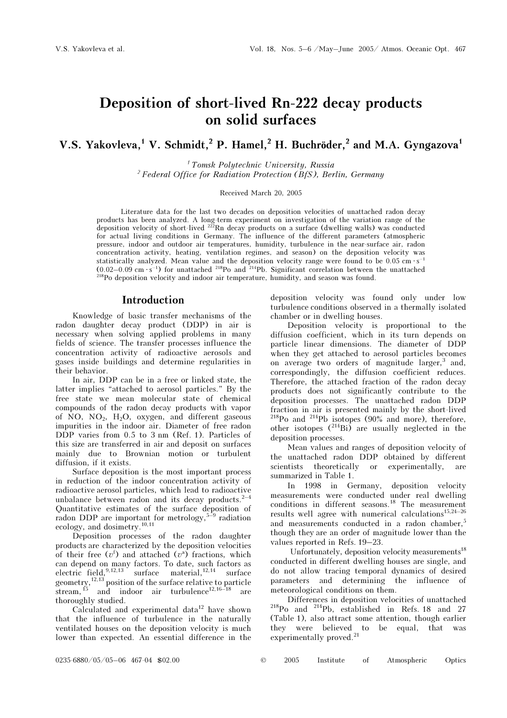# Deposition of short-lived Rn-222 decay products on solid surfaces

## V.S. Yakovleva,<sup>1</sup> V. Schmidt,<sup>2</sup> P. Hamel,<sup>2</sup> H. Buchröder,<sup>2</sup> and M.A. Gyngazova<sup>1</sup>

 $<sup>1</sup>$  Tomsk Polytechnic University, Russia</sup>  $2$  Federal Office for Radiation Protection (BfS), Berlin, Germany

#### Received March 20, 2005

Literature data for the last two decades on deposition velocities of unattached radon decay products has been analyzed. A long-term experiment on investigation of the variation range of the deposition velocity of short-lived  $^{222}$ Rn decay products on a surface (dwelling walls) was conducted for actual living conditions in Germany. The influence of the different parameters (atmospheric pressure, indoor and outdoor air temperatures, humidity, turbulence in the near-surface air, radon concentration activity, heating, ventilation regimes, and season) on the deposition velocity was statistically analyzed. Mean value and the deposition velocity range were found to be  $0.05 \text{ cm} \cdot \text{s}^{-1}$  $(0.02-0.09 \text{ cm} \cdot \text{s}^{-1})$  for unattached <sup>218</sup>Po and <sup>214</sup>Pb. Significant correlation between the unattached <sup>218</sup>Po deposition velocity and indoor air temperature, humidity, and season was found.

### Introduction

Knowledge of basic transfer mechanisms of the radon daughter decay product (DDP) in air is necessary when solving applied problems in many fields of science. The transfer processes influence the concentration activity of radioactive aerosols and gases inside buildings and determine regularities in their behavior.

In air, DDP can be in a free or linked state, the latter implies "attached to aerosol particles." By the free state we mean molecular state of chemical compounds of the radon decay products with vapor of NO,  $NO<sub>2</sub>$ ,  $H<sub>2</sub>O$ , oxygen, and different gaseous impurities in the indoor air. Diameter of free radon DDP varies from 0.5 to 3 nm (Ref. 1). Particles of this size are transferred in air and deposit on surfaces mainly due to Brownian motion or turbulent diffusion, if it exists.

Surface deposition is the most important process in reduction of the indoor concentration activity of radioactive aerosol particles, which lead to radioactive unbalance between radon and its decay products. $2^{-4}$ Quantitative estimates of the surface deposition of radon DDP are important for metrology,  $5\text{-}9$  radiation ecology, and dosimetry.<sup>10,11</sup>

Deposition processes of the radon daughter products are characterized by the deposition velocities of their free  $(v^f)$  and attached  $(v^a)$  fractions, which can depend on many factors. To date, such factors as electric field,  $9,12,13$  surface material,  $12,14$  surface geometry,  $12,13$  position of the surface relative to particle stream,  $^{15}$  and indoor air turbulence<sup>12,16–18</sup> are thoroughly studied.

Calculated and experimental data<sup>12</sup> have shown that the influence of turbulence in the naturally ventilated houses on the deposition velocity is much lower than expected. An essential difference in the deposition velocity was found only under low turbulence conditions observed in a thermally isolated chamber or in dwelling houses.

Deposition velocity is proportional to the diffusion coefficient, which in its turn depends on particle linear dimensions. The diameter of DDP when they get attached to aerosol particles becomes on average two orders of magnitude  $\langle \text{larger,}^3 \rangle$  and, correspondingly, the diffusion coefficient reduces. Therefore, the attached fraction of the radon decay products does not significantly contribute to the deposition processes. The unattached radon DDP fraction in air is presented mainly by the short-lived  $^{218}$ Po and  $^{214}$ Pb isotopes (90% and more), therefore, other isotopes  $(^{214}Bi)$  are usually neglected in the deposition processes.

Mean values and ranges of deposition velocity of the unattached radon DDP obtained by different scientists theoretically or experimentally, are summarized in Table 1.

In 1998 in Germany, deposition velocity measurements were conducted under real dwelling conditions in different seasons.<sup>18</sup> The measurement results well agree with numerical calculations<sup>15,24-26</sup> and measurements conducted in a radon chamber,<sup>5</sup> though they are an order of magnitude lower than the values reported in Refs. 19–23.

Unfortunately, deposition velocity measurements<sup>18</sup> conducted in different dwelling houses are single, and do not allow tracing temporal dynamics of desired parameters and determining the influence of meteorological conditions on them.

Differences in deposition velocities of unattached  $^{218}$ Po and  $^{214}$ Pb, established in Refs. 18 and 27 (Table 1), also attract some attention, though earlier they were believed to be equal, that was experimentally proved.<sup>21</sup>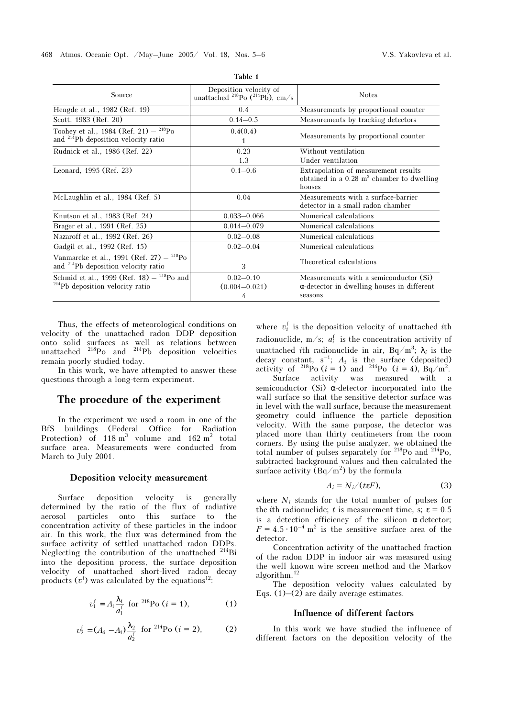| Source                                                                                                    | Deposition velocity of<br>unattached <sup>218</sup> Po ( <sup>214</sup> Pb), cm/s | <b>Notes</b>                                                                                              |  |
|-----------------------------------------------------------------------------------------------------------|-----------------------------------------------------------------------------------|-----------------------------------------------------------------------------------------------------------|--|
| Hengde et al., 1982 (Ref. 19)                                                                             | 0.4                                                                               | Measurements by proportional counter                                                                      |  |
| Scott, 1983 (Ref. 20)                                                                                     | $0.14 - 0.5$                                                                      | Measurements by tracking detectors                                                                        |  |
| Toohey et al., $1984$ (Ref. 21) - $^{218}Po$<br>and <sup>214</sup> Pb deposition velocity ratio           | 0.4(0.4)<br>1                                                                     | Measurements by proportional counter                                                                      |  |
| Rudnick et al., 1986 (Ref. 22)                                                                            | 0.23<br>1.3                                                                       | Without ventilation<br>Under ventilation                                                                  |  |
| Leonard, 1995 (Ref. 23)                                                                                   | $0.1 - 0.6$                                                                       | Extrapolation of measurement results<br>obtained in a $0.28$ m <sup>3</sup> chamber to dwelling<br>houses |  |
| McLaughlin et al., 1984 (Ref. 5)                                                                          | 0.04                                                                              | Measurements with a surface-barrier<br>detector in a small radon chamber                                  |  |
| Knutson et al., 1983 (Ref. 24)                                                                            | $0.033 - 0.066$                                                                   | Numerical calculations                                                                                    |  |
| Brager et al., 1991 (Ref. 25)                                                                             | $0.014 - 0.079$                                                                   | Numerical calculations                                                                                    |  |
| Nazaroff et al., 1992 (Ref. 26)                                                                           | $0.02 - 0.08$                                                                     | Numerical calculations                                                                                    |  |
| Gadgil et al., 1992 (Ref. 15)                                                                             | $0.02 - 0.04$                                                                     | Numerical calculations                                                                                    |  |
| Vanmarcke et al., 1991 (Ref. 27) $-$ <sup>218</sup> Po<br>and <sup>214</sup> Pb deposition velocity ratio | 3                                                                                 | Theoretical calculations                                                                                  |  |
| Schmid et al., 1999 (Ref. 18) $-$ <sup>218</sup> Po and<br><sup>214</sup> Pb deposition velocity ratio    | $0.02 - 0.10$<br>$(0.004 - 0.021)$<br>4                                           | Measurements with a semiconductor (Si)<br>$\alpha$ -detector in dwelling houses in different<br>seasons   |  |

Table 1

Thus, the effects of meteorological conditions on velocity of the unattached radon DDP deposition onto solid surfaces as well as relations between unattached  $^{218}$ Po and  $^{214}$ Pb deposition velocities remain poorly studied today.

In this work, we have attempted to answer these questions through a long-term experiment.

## The procedure of the experiment

In the experiment we used a room in one of the BfS buildings (Federal Office for Radiation Protection) of  $118 \text{ m}^3$  volume and  $162 \text{ m}^2$  total surface area. Measurements were conducted from March to July 2001.

#### Deposition velocity measurement

Surface deposition velocity is generally determined by the ratio of the flux of radiative aerosol particles onto this surface to the concentration activity of these particles in the indoor air. In this work, the flux was determined from the surface activity of settled unattached radon DDPs. Neglecting the contribution of the unattached <sup>214</sup>Bi into the deposition process, the surface deposition velocity of unattached short-lived radon decay products  $(v^f)$  was calculated by the equations<sup>12</sup>:

$$
v_1^f = A_1 \frac{\lambda_1}{a_1^f}
$$
 for <sup>218</sup>Po (*i* = 1), (1)

$$
v_2^f = (A_4 - A_1) \frac{\lambda_2}{a_2^f}
$$
 for <sup>214</sup>Po (*i* = 2), (2)

where  $v_i^f$  is the deposition velocity of unattached *i*th

radionuclide, m/s;  $a_i^{\dagger}$  is the concentration activity of unattached *i*th radionuclide in air, Bq/m<sup>3</sup>;  $\lambda_i$  is the decay constant,  $s^{-1}$ ;  $A_i$  is the surface (deposited) activity of <sup>218</sup>Po (*i* = 1) and <sup>214</sup>Po (*i* = 4), Bq/m<sup>2</sup>.

Surface activity was measured with a semiconductor (Si)  $\alpha$ -detector incorporated into the wall surface so that the sensitive detector surface was in level with the wall surface, because the measurement geometry could influence the particle deposition velocity. With the same purpose, the detector was placed more than thirty centimeters from the room corners. By using the pulse analyzer, we obtained the total number of pulses separately for <sup>218</sup>Po and <sup>214</sup>Po, subtracted background values and then calculated the surface activity  $(Bq/m^2)$  by the formula

$$
A_i = N_i / (t \varepsilon F), \tag{3}
$$

where  $N_i$  stands for the total number of pulses for the *i*th radionuclide; t is measurement time, s;  $\epsilon = 0.5$ is a detection efficiency of the silicon  $\alpha$ -detector:  $F = 4.5 \cdot 10^{-4}$  m<sup>2</sup> is the sensitive surface area of the detector.

Concentration activity of the unattached fraction of the radon DDP in indoor air was measured using the well known wire screen method and the Markov algorithm.<sup>12</sup>

The deposition velocity values calculated by Eqs.  $(1)$ – $(2)$  are daily average estimates.

#### Influence of different factors

In this work we have studied the influence of different factors on the deposition velocity of the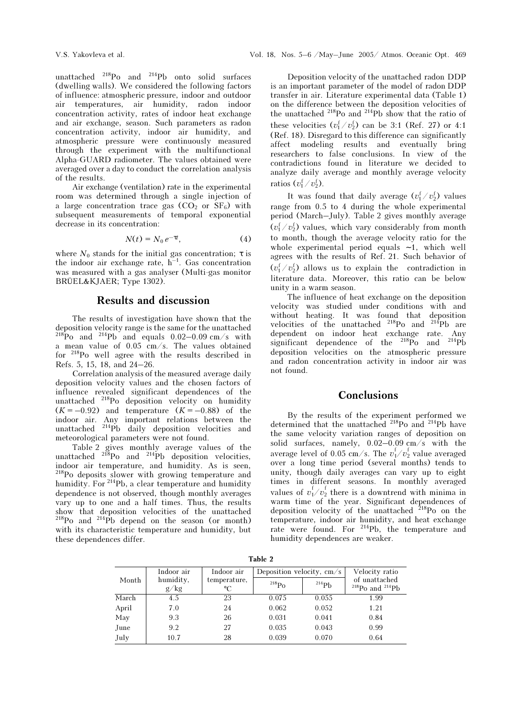unattached <sup>218</sup>Po and <sup>214</sup>Pb onto solid surfaces (dwelling walls). We considered the following factors of influence: atmospheric pressure, indoor and outdoor air temperatures, air humidity, radon indoor concentration activity, rates of indoor heat exchange and air exchange, season. Such parameters as radon concentration activity, indoor air humidity, and atmospheric pressure were continuously measured through the experiment with the multifunctional Alpha-GUARD radiometer. The values obtained were averaged over a day to conduct the correlation analysis of the results.

Air exchange (ventilation) rate in the experimental room was determined through a single injection of a large concentration trace gas  $(CO<sub>2</sub>$  or  $SF<sub>6</sub>)$  with subsequent measurements of temporal exponential decrease in its concentration:

$$
N(t) = N_0 e^{-\tau t}, \qquad (4)
$$

where  $N_0$  stands for the initial gas concentration;  $\tau$  is the indoor air exchange rate,  $h^{-1}$ . Gas concentration was measured with a gas analyser (Multi-gas monitor BRÜEL&KJAER; Type 1302).

## Results and discussion

The results of investigation have shown that the deposition velocity range is the same for the unattached  $^{218}Po$  and  $^{214}Pb$  and equals 0.02–0.09 cm/s with a mean value of 0.05 cm/s. The values obtained for <sup>218</sup>Po well agree with the results described in Refs. 5, 15, 18, and 24–26.

Correlation analysis of the measured average daily deposition velocity values and the chosen factors of influence revealed significant dependences of the  $unbolded$ <sup>218</sup>Po deposition velocity on humidity  $(K = -0.92)$  and temperature  $(K = -0.88)$  of the indoor air. Any important relations between the unattached <sup>214</sup>Pb daily deposition velocities and meteorological parameters were not found.

Table 2 gives monthly average values of the unattached  $^{218}$ Po and  $^{214}$ Pb deposition velocities, indoor air temperature, and humidity. As is seen, <sup>218</sup>Po deposits slower with growing temperature and humidity. For <sup>214</sup>Pb, a clear temperature and humidity dependence is not observed, though monthly averages vary up to one and a half times. Thus, the results show that deposition velocities of the unattached  $^{218}Po$  and  $^{214}Pb$  depend on the season (or month) with its characteristic temperature and humidity, but these dependences differ.

Deposition velocity of the unattached radon DDP is an important parameter of the model of radon DDP transfer in air. Literature experimental data (Table 1) on the difference between the deposition velocities of the unattached  $^{218}$ Po and  $^{214}$ Pb show that the ratio of these velocities  $(v_1^f/v_2^f)$  can be 3:1 (Ref. 27) or 4:1 (Ref. 18). Disregard to this difference can significantly affect modeling results and eventually bring researchers to false conclusions. In view of the contradictions found in literature we decided to analyze daily average and monthly average velocity ratios  $(v_1^f/v_2^f)$ .

It was found that daily average  $(v_1^f/v_2^f)$  values range from 0.5 to 4 during the whole experimental period (March–July). Table 2 gives monthly average  $(v_1^f/v_2^f)$  values, which vary considerably from month to month, though the average velocity ratio for the whole experimental period equals ∼ 1, which well agrees with the results of Ref. 21. Such behavior of  $(v_1^f/v_2^f)$  allows us to explain the contradiction in literature data. Moreover, this ratio can be below unity in a warm season.

The influence of heat exchange on the deposition velocity was studied under conditions with and without heating. It was found that deposition velocities of the unattached <sup>218</sup>Po and <sup>214</sup>Pb are dependent on indoor heat exchange rate. Any significant dependence of the  $^{218}P_0$  and  $^{214}P_0$ deposition velocities on the atmospheric pressure and radon concentration activity in indoor air was not found.

## **Conclusions**

By the results of the experiment performed we determined that the unattached <sup>218</sup>Po and <sup>214</sup>Pb have the same velocity variation ranges of deposition on solid surfaces, namely, 0.02–0.09 cm/s with the average level of 0.05 cm/s. The  $v_1^{\text{f}}/v_2^{\text{f}}$  value averaged over a long time period (several months) tends to unity, though daily averages can vary up to eight times in different seasons. In monthly averaged values of  $v_1^f / v_2^f$  there is a downtrend with minima in warm time of the year. Significant dependences of deposition velocity of the unattached  $^{218}$ Po on the temperature, indoor air humidity, and heat exchange rate were found. For <sup>214</sup>Pb, the temperature and humidity dependences are weaker.

Table 2

| Indoor air<br>humidity,<br>Month<br>g/kg |      | Indoor air<br>temperature,<br>°C | Deposition velocity, $cm/s$ |            | Velocity ratio                                           |
|------------------------------------------|------|----------------------------------|-----------------------------|------------|----------------------------------------------------------|
|                                          |      |                                  | $^{218}Po$                  | $^{214}Pb$ | of unattached<br><sup>218</sup> Po and <sup>214</sup> Pb |
| March                                    | 4.5  | 23                               | 0.075                       | 0.055      | 1.99                                                     |
| April                                    | 7.0  | 24                               | 0.062                       | 0.052      | 1.21                                                     |
| May                                      | 9.3  | 26                               | 0.031                       | 0.041      | 0.84                                                     |
| June                                     | 9.2  | 27                               | 0.035                       | 0.043      | 0.99                                                     |
| July                                     | 10.7 | 28                               | 0.039                       | 0.070      | 0.64                                                     |